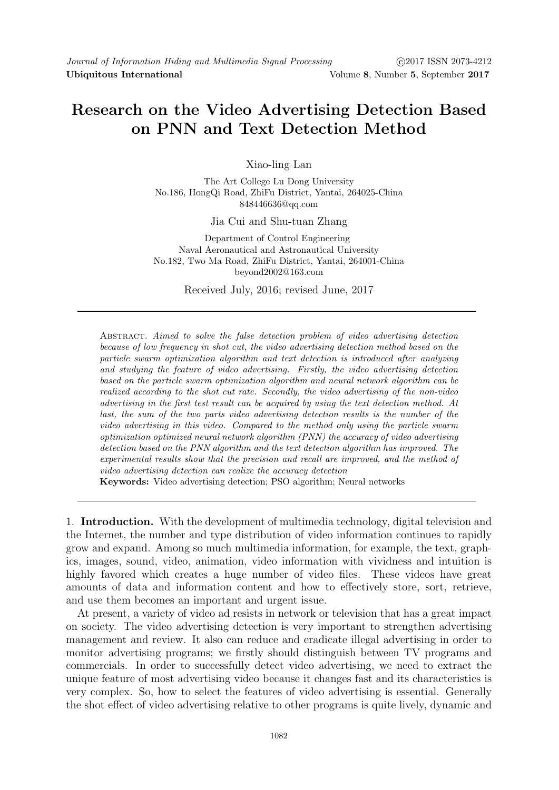## Research on the Video Advertising Detection Based on PNN and Text Detection Method

Xiao-ling Lan

The Art College Lu Dong University No.186, HongQi Road, ZhiFu District, Yantai, 264025-China 848446636@qq.com

Jia Cui and Shu-tuan Zhang

Department of Control Engineering Naval Aeronautical and Astronautical University No.182, Two Ma Road, ZhiFu District, Yantai, 264001-China beyond2002@163.com

Received July, 2016; revised June, 2017

Abstract. Aimed to solve the false detection problem of video advertising detection because of low frequency in shot cut, the video advertising detection method based on the particle swarm optimization algorithm and text detection is introduced after analyzing and studying the feature of video advertising. Firstly, the video advertising detection based on the particle swarm optimization algorithm and neural network algorithm can be realized according to the shot cut rate. Secondly, the video advertising of the non-video advertising in the first test result can be acquired by using the text detection method. At last, the sum of the two parts video advertising detection results is the number of the video advertising in this video. Compared to the method only using the particle swarm optimization optimized neural network algorithm (PNN) the accuracy of video advertising detection based on the PNN algorithm and the text detection algorithm has improved. The experimental results show that the precision and recall are improved, and the method of video advertising detection can realize the accuracy detection

Keywords: Video advertising detection; PSO algorithm; Neural networks

1. Introduction. With the development of multimedia technology, digital television and the Internet, the number and type distribution of video information continues to rapidly grow and expand. Among so much multimedia information, for example, the text, graphics, images, sound, video, animation, video information with vividness and intuition is highly favored which creates a huge number of video files. These videos have great amounts of data and information content and how to effectively store, sort, retrieve, and use them becomes an important and urgent issue.

At present, a variety of video ad resists in network or television that has a great impact on society. The video advertising detection is very important to strengthen advertising management and review. It also can reduce and eradicate illegal advertising in order to monitor advertising programs; we firstly should distinguish between TV programs and commercials. In order to successfully detect video advertising, we need to extract the unique feature of most advertising video because it changes fast and its characteristics is very complex. So, how to select the features of video advertising is essential. Generally the shot effect of video advertising relative to other programs is quite lively, dynamic and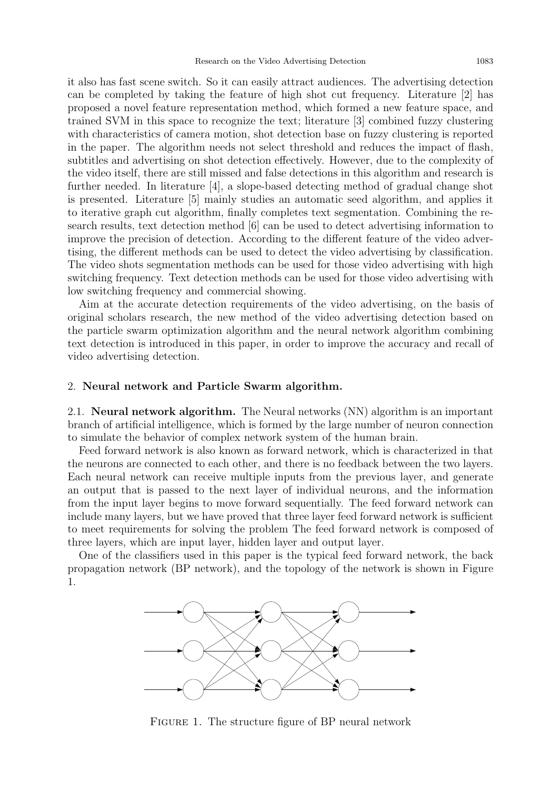it also has fast scene switch. So it can easily attract audiences. The advertising detection can be completed by taking the feature of high shot cut frequency. Literature [2] has proposed a novel feature representation method, which formed a new feature space, and trained SVM in this space to recognize the text; literature [3] combined fuzzy clustering with characteristics of camera motion, shot detection base on fuzzy clustering is reported in the paper. The algorithm needs not select threshold and reduces the impact of flash, subtitles and advertising on shot detection effectively. However, due to the complexity of the video itself, there are still missed and false detections in this algorithm and research is further needed. In literature [4], a slope-based detecting method of gradual change shot is presented. Literature [5] mainly studies an automatic seed algorithm, and applies it to iterative graph cut algorithm, finally completes text segmentation. Combining the research results, text detection method [6] can be used to detect advertising information to improve the precision of detection. According to the different feature of the video advertising, the different methods can be used to detect the video advertising by classification. The video shots segmentation methods can be used for those video advertising with high switching frequency. Text detection methods can be used for those video advertising with low switching frequency and commercial showing.

Aim at the accurate detection requirements of the video advertising, on the basis of original scholars research, the new method of the video advertising detection based on the particle swarm optimization algorithm and the neural network algorithm combining text detection is introduced in this paper, in order to improve the accuracy and recall of video advertising detection.

## 2. Neural network and Particle Swarm algorithm.

2.1. Neural network algorithm. The Neural networks (NN) algorithm is an important branch of artificial intelligence, which is formed by the large number of neuron connection to simulate the behavior of complex network system of the human brain.

Feed forward network is also known as forward network, which is characterized in that the neurons are connected to each other, and there is no feedback between the two layers. Each neural network can receive multiple inputs from the previous layer, and generate an output that is passed to the next layer of individual neurons, and the information from the input layer begins to move forward sequentially. The feed forward network can include many layers, but we have proved that three layer feed forward network is sufficient to meet requirements for solving the problem The feed forward network is composed of three layers, which are input layer, hidden layer and output layer.

One of the classifiers used in this paper is the typical feed forward network, the back propagation network (BP network), and the topology of the network is shown in Figure 1.



Figure 1. The structure figure of BP neural network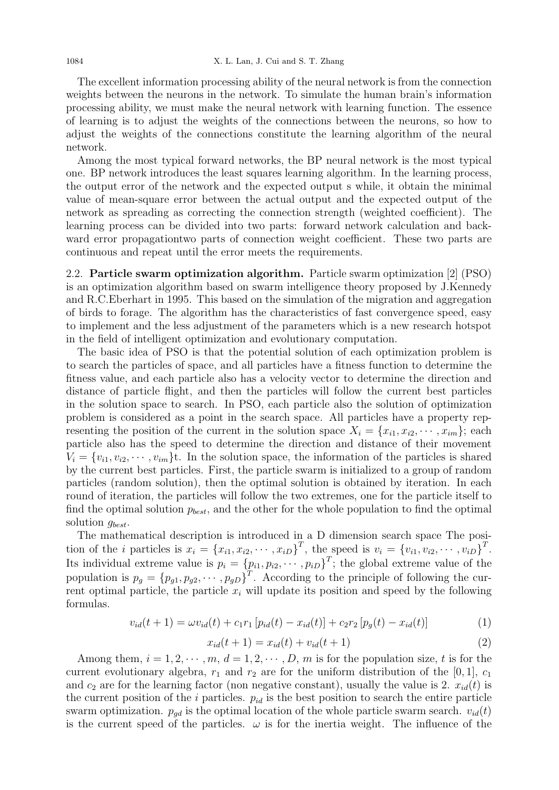The excellent information processing ability of the neural network is from the connection weights between the neurons in the network. To simulate the human brain's information processing ability, we must make the neural network with learning function. The essence of learning is to adjust the weights of the connections between the neurons, so how to adjust the weights of the connections constitute the learning algorithm of the neural network.

Among the most typical forward networks, the BP neural network is the most typical one. BP network introduces the least squares learning algorithm. In the learning process, the output error of the network and the expected output s while, it obtain the minimal value of mean-square error between the actual output and the expected output of the network as spreading as correcting the connection strength (weighted coefficient). The learning process can be divided into two parts: forward network calculation and backward error propagationtwo parts of connection weight coefficient. These two parts are continuous and repeat until the error meets the requirements.

2.2. Particle swarm optimization algorithm. Particle swarm optimization [2] (PSO) is an optimization algorithm based on swarm intelligence theory proposed by J.Kennedy and R.C.Eberhart in 1995. This based on the simulation of the migration and aggregation of birds to forage. The algorithm has the characteristics of fast convergence speed, easy to implement and the less adjustment of the parameters which is a new research hotspot in the field of intelligent optimization and evolutionary computation.

The basic idea of PSO is that the potential solution of each optimization problem is to search the particles of space, and all particles have a fitness function to determine the fitness value, and each particle also has a velocity vector to determine the direction and distance of particle flight, and then the particles will follow the current best particles in the solution space to search. In PSO, each particle also the solution of optimization problem is considered as a point in the search space. All particles have a property representing the position of the current in the solution space  $X_i = \{x_{i1}, x_{i2}, \dots, x_{im}\}\;$  each particle also has the speed to determine the direction and distance of their movement  $V_i = \{v_{i1}, v_{i2}, \dots, v_{im}\}\$ . In the solution space, the information of the particles is shared by the current best particles. First, the particle swarm is initialized to a group of random particles (random solution), then the optimal solution is obtained by iteration. In each round of iteration, the particles will follow the two extremes, one for the particle itself to find the optimal solution  $p_{best}$ , and the other for the whole population to find the optimal solution  $g_{best}$ .

The mathematical description is introduced in a D dimension search space The position of the *i* particles is  $x_i = \{x_{i1}, x_{i2}, \cdots, x_{iD}\}^T$ , the speed is  $v_i = \{v_{i1}, v_{i2}, \cdots, v_{iD}\}^T$ . Its individual extreme value is  $p_i = \{p_{i1}, p_{i2}, \cdots, p_{iD}\}^T$ ; the global extreme value of the population is  $p_g = \{p_{g1}, p_{g2}, \cdots, p_{gD}\}^T$ . According to the principle of following the current optimal particle, the particle  $x_i$  will update its position and speed by the following formulas.

$$
v_{id}(t+1) = \omega v_{id}(t) + c_1 r_1 \left[ p_{id}(t) - x_{id}(t) \right] + c_2 r_2 \left[ p_g(t) - x_{id}(t) \right] \tag{1}
$$

$$
x_{id}(t+1) = x_{id}(t) + v_{id}(t+1)
$$
\n(2)

Among them,  $i = 1, 2, \dots, m, d = 1, 2, \dots, D, m$  is for the population size, t is for the current evolutionary algebra,  $r_1$  and  $r_2$  are for the uniform distribution of the [0, 1],  $c_1$ and  $c_2$  are for the learning factor (non negative constant), usually the value is 2.  $x_{id}(t)$  is the current position of the i particles.  $p_{id}$  is the best position to search the entire particle swarm optimization.  $p_{gd}$  is the optimal location of the whole particle swarm search.  $v_{id}(t)$ is the current speed of the particles.  $\omega$  is for the inertia weight. The influence of the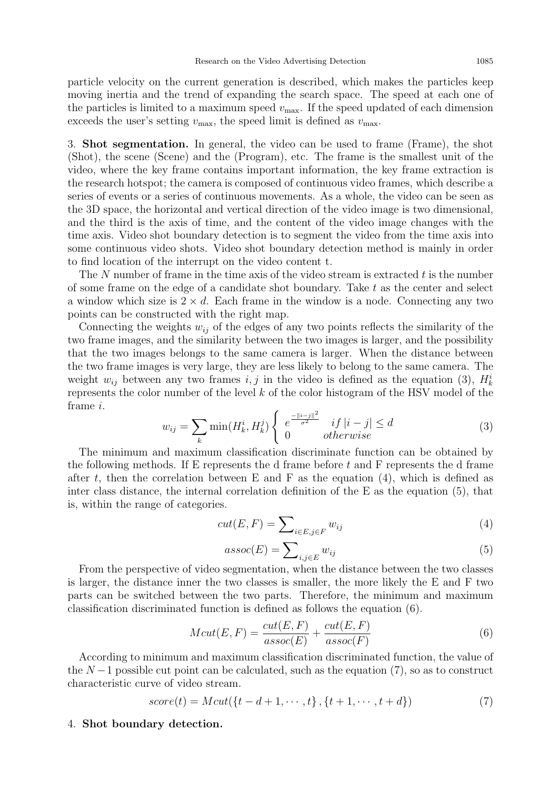particle velocity on the current generation is described, which makes the particles keep moving inertia and the trend of expanding the search space. The speed at each one of the particles is limited to a maximum speed  $v_{\text{max}}$ . If the speed updated of each dimension exceeds the user's setting  $v_{\text{max}}$ , the speed limit is defined as  $v_{\text{max}}$ .

3. Shot segmentation. In general, the video can be used to frame (Frame), the shot (Shot), the scene (Scene) and the (Program), etc. The frame is the smallest unit of the video, where the key frame contains important information, the key frame extraction is the research hotspot; the camera is composed of continuous video frames, which describe a series of events or a series of continuous movements. As a whole, the video can be seen as the 3D space, the horizontal and vertical direction of the video image is two dimensional, and the third is the axis of time, and the content of the video image changes with the time axis. Video shot boundary detection is to segment the video from the time axis into some continuous video shots. Video shot boundary detection method is mainly in order to find location of the interrupt on the video content t.

The N number of frame in the time axis of the video stream is extracted t is the number of some frame on the edge of a candidate shot boundary. Take t as the center and select a window which size is  $2 \times d$ . Each frame in the window is a node. Connecting any two points can be constructed with the right map.

Connecting the weights  $w_{ij}$  of the edges of any two points reflects the similarity of the two frame images, and the similarity between the two images is larger, and the possibility that the two images belongs to the same camera is larger. When the distance between the two frame images is very large, they are less likely to belong to the same camera. The weight  $w_{ij}$  between any two frames  $i, j$  in the video is defined as the equation (3),  $H_k^i$ represents the color number of the level k of the color histogram of the HSV model of the frame i.

$$
w_{ij} = \sum_{k} \min(H_k^i, H_k^j) \begin{cases} e^{\frac{-||i-j||^2}{\sigma^2}} & \text{if } |i-j| \le d \\ 0 & \text{otherwise} \end{cases}
$$
 (3)

The minimum and maximum classification discriminate function can be obtained by the following methods. If E represents the d frame before  $t$  and  $F$  represents the d frame after t, then the correlation between E and F as the equation  $(4)$ , which is defined as inter class distance, the internal correlation definition of the E as the equation (5), that is, within the range of categories.

$$
cut(E, F) = \sum_{i \in E, j \in F} w_{ij}
$$
\n<sup>(4)</sup>

$$
assoc(E) = \sum_{i,j \in E} w_{ij}
$$
\n(5)

From the perspective of video segmentation, when the distance between the two classes is larger, the distance inner the two classes is smaller, the more likely the E and F two parts can be switched between the two parts. Therefore, the minimum and maximum classification discriminated function is defined as follows the equation (6).

$$
Mcut(E, F) = \frac{cut(E, F)}{assoc(E)} + \frac{cut(E, F)}{assoc(F)}
$$
(6)

According to minimum and maximum classification discriminated function, the value of the  $N-1$  possible cut point can be calculated, such as the equation (7), so as to construct characteristic curve of video stream.

$$
score(t) = Mcut({t - d + 1, \cdots, t}, {t + 1, \cdots, t + d})
$$
\n(7)

## 4. Shot boundary detection.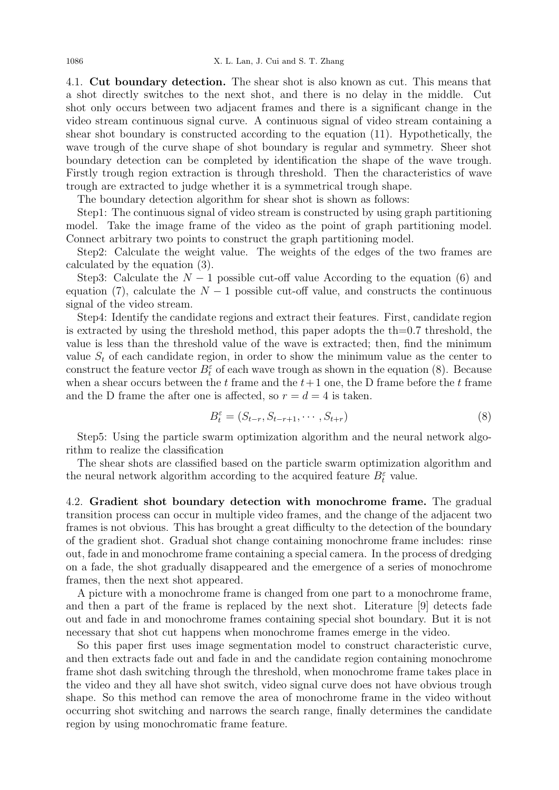4.1. Cut boundary detection. The shear shot is also known as cut. This means that a shot directly switches to the next shot, and there is no delay in the middle. Cut shot only occurs between two adjacent frames and there is a significant change in the video stream continuous signal curve. A continuous signal of video stream containing a shear shot boundary is constructed according to the equation (11). Hypothetically, the wave trough of the curve shape of shot boundary is regular and symmetry. Sheer shot boundary detection can be completed by identification the shape of the wave trough. Firstly trough region extraction is through threshold. Then the characteristics of wave trough are extracted to judge whether it is a symmetrical trough shape.

The boundary detection algorithm for shear shot is shown as follows:

Step1: The continuous signal of video stream is constructed by using graph partitioning model. Take the image frame of the video as the point of graph partitioning model. Connect arbitrary two points to construct the graph partitioning model.

Step2: Calculate the weight value. The weights of the edges of the two frames are calculated by the equation (3).

Step3: Calculate the  $N-1$  possible cut-off value According to the equation (6) and equation (7), calculate the  $N-1$  possible cut-off value, and constructs the continuous signal of the video stream.

Step4: Identify the candidate regions and extract their features. First, candidate region is extracted by using the threshold method, this paper adopts the  $th=0.7$  threshold, the value is less than the threshold value of the wave is extracted; then, find the minimum value  $S_t$  of each candidate region, in order to show the minimum value as the center to construct the feature vector  $B_t^{\varepsilon}$  of each wave trough as shown in the equation (8). Because when a shear occurs between the t frame and the  $t+1$  one, the D frame before the t frame and the D frame the after one is affected, so  $r = d = 4$  is taken.

$$
B_t^{\varepsilon} = (S_{t-r}, S_{t-r+1}, \cdots, S_{t+r})
$$
\n
$$
(8)
$$

Step5: Using the particle swarm optimization algorithm and the neural network algorithm to realize the classification

The shear shots are classified based on the particle swarm optimization algorithm and the neural network algorithm according to the acquired feature  $B_t^{\varepsilon}$  value.

4.2. Gradient shot boundary detection with monochrome frame. The gradual transition process can occur in multiple video frames, and the change of the adjacent two frames is not obvious. This has brought a great difficulty to the detection of the boundary of the gradient shot. Gradual shot change containing monochrome frame includes: rinse out, fade in and monochrome frame containing a special camera. In the process of dredging on a fade, the shot gradually disappeared and the emergence of a series of monochrome frames, then the next shot appeared.

A picture with a monochrome frame is changed from one part to a monochrome frame, and then a part of the frame is replaced by the next shot. Literature [9] detects fade out and fade in and monochrome frames containing special shot boundary. But it is not necessary that shot cut happens when monochrome frames emerge in the video.

So this paper first uses image segmentation model to construct characteristic curve, and then extracts fade out and fade in and the candidate region containing monochrome frame shot dash switching through the threshold, when monochrome frame takes place in the video and they all have shot switch, video signal curve does not have obvious trough shape. So this method can remove the area of monochrome frame in the video without occurring shot switching and narrows the search range, finally determines the candidate region by using monochromatic frame feature.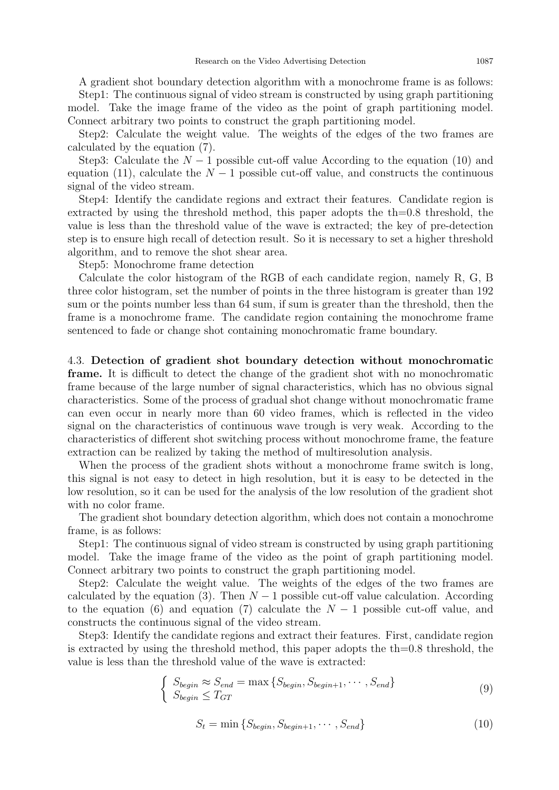A gradient shot boundary detection algorithm with a monochrome frame is as follows: Step1: The continuous signal of video stream is constructed by using graph partitioning model. Take the image frame of the video as the point of graph partitioning model. Connect arbitrary two points to construct the graph partitioning model.

Step2: Calculate the weight value. The weights of the edges of the two frames are calculated by the equation (7).

Step3: Calculate the  $N-1$  possible cut-off value According to the equation (10) and equation (11), calculate the  $N-1$  possible cut-off value, and constructs the continuous signal of the video stream.

Step4: Identify the candidate regions and extract their features. Candidate region is extracted by using the threshold method, this paper adopts the th=0.8 threshold, the value is less than the threshold value of the wave is extracted; the key of pre-detection step is to ensure high recall of detection result. So it is necessary to set a higher threshold algorithm, and to remove the shot shear area.

Step5: Monochrome frame detection

Calculate the color histogram of the RGB of each candidate region, namely R, G, B three color histogram, set the number of points in the three histogram is greater than 192 sum or the points number less than 64 sum, if sum is greater than the threshold, then the frame is a monochrome frame. The candidate region containing the monochrome frame sentenced to fade or change shot containing monochromatic frame boundary.

4.3. Detection of gradient shot boundary detection without monochromatic frame. It is difficult to detect the change of the gradient shot with no monochromatic frame because of the large number of signal characteristics, which has no obvious signal characteristics. Some of the process of gradual shot change without monochromatic frame can even occur in nearly more than 60 video frames, which is reflected in the video signal on the characteristics of continuous wave trough is very weak. According to the characteristics of different shot switching process without monochrome frame, the feature extraction can be realized by taking the method of multiresolution analysis.

When the process of the gradient shots without a monochrome frame switch is long, this signal is not easy to detect in high resolution, but it is easy to be detected in the low resolution, so it can be used for the analysis of the low resolution of the gradient shot with no color frame.

The gradient shot boundary detection algorithm, which does not contain a monochrome frame, is as follows:

Step1: The continuous signal of video stream is constructed by using graph partitioning model. Take the image frame of the video as the point of graph partitioning model. Connect arbitrary two points to construct the graph partitioning model.

Step2: Calculate the weight value. The weights of the edges of the two frames are calculated by the equation (3). Then  $N-1$  possible cut-off value calculation. According to the equation (6) and equation (7) calculate the  $N-1$  possible cut-off value, and constructs the continuous signal of the video stream.

Step3: Identify the candidate regions and extract their features. First, candidate region is extracted by using the threshold method, this paper adopts the th=0.8 threshold, the value is less than the threshold value of the wave is extracted:

$$
\begin{cases}\nS_{begin} \approx S_{end} = \max \{S_{begin+1}, \dots, S_{end}\} \\
S_{begin} \le T_{GT}\n\end{cases}\n\tag{9}
$$

$$
S_t = \min \{ S_{begin}, S_{begin+1}, \cdots, S_{end} \} \tag{10}
$$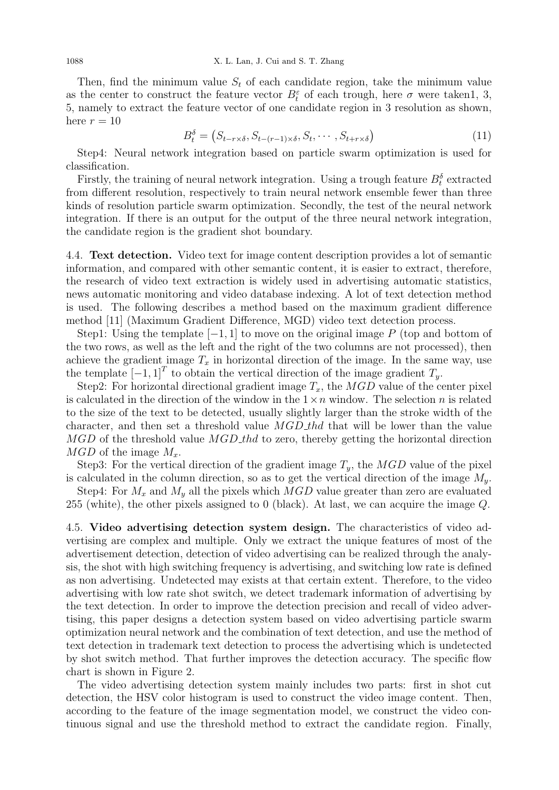Then, find the minimum value  $S_t$  of each candidate region, take the minimum value as the center to construct the feature vector  $B_t^{\varepsilon}$  of each trough, here  $\sigma$  were taken1, 3, 5, namely to extract the feature vector of one candidate region in 3 resolution as shown, here  $r = 10$ 

$$
B_t^{\delta} = (S_{t-r \times \delta}, S_{t-(r-1)\times \delta}, S_t, \cdots, S_{t+r \times \delta})
$$
\n(11)

Step4: Neural network integration based on particle swarm optimization is used for classification.

Firstly, the training of neural network integration. Using a trough feature  $B_t^{\delta}$  extracted from different resolution, respectively to train neural network ensemble fewer than three kinds of resolution particle swarm optimization. Secondly, the test of the neural network integration. If there is an output for the output of the three neural network integration, the candidate region is the gradient shot boundary.

4.4. Text detection. Video text for image content description provides a lot of semantic information, and compared with other semantic content, it is easier to extract, therefore, the research of video text extraction is widely used in advertising automatic statistics, news automatic monitoring and video database indexing. A lot of text detection method is used. The following describes a method based on the maximum gradient difference method [11] (Maximum Gradient Difference, MGD) video text detection process.

Step1: Using the template  $[-1, 1]$  to move on the original image P (top and bottom of the two rows, as well as the left and the right of the two columns are not processed), then achieve the gradient image  $T_x$  in horizontal direction of the image. In the same way, use the template  $[-1, 1]^T$  to obtain the vertical direction of the image gradient  $T_y$ .

Step2: For horizontal directional gradient image  $T_x$ , the MGD value of the center pixel is calculated in the direction of the window in the  $1 \times n$  window. The selection n is related to the size of the text to be detected, usually slightly larger than the stroke width of the character, and then set a threshold value  $MGD_{th}$  that will be lower than the value  $MGD$  of the threshold value  $MGD$  thd to zero, thereby getting the horizontal direction  $MGD$  of the image  $M_x$ .

Step3: For the vertical direction of the gradient image  $T_y$ , the MGD value of the pixel is calculated in the column direction, so as to get the vertical direction of the image  $M_y$ .

Step4: For  $M_x$  and  $M_y$  all the pixels which  $MGD$  value greater than zero are evaluated 255 (white), the other pixels assigned to 0 (black). At last, we can acquire the image Q.

4.5. Video advertising detection system design. The characteristics of video advertising are complex and multiple. Only we extract the unique features of most of the advertisement detection, detection of video advertising can be realized through the analysis, the shot with high switching frequency is advertising, and switching low rate is defined as non advertising. Undetected may exists at that certain extent. Therefore, to the video advertising with low rate shot switch, we detect trademark information of advertising by the text detection. In order to improve the detection precision and recall of video advertising, this paper designs a detection system based on video advertising particle swarm optimization neural network and the combination of text detection, and use the method of text detection in trademark text detection to process the advertising which is undetected by shot switch method. That further improves the detection accuracy. The specific flow chart is shown in Figure 2.

The video advertising detection system mainly includes two parts: first in shot cut detection, the HSV color histogram is used to construct the video image content. Then, according to the feature of the image segmentation model, we construct the video continuous signal and use the threshold method to extract the candidate region. Finally,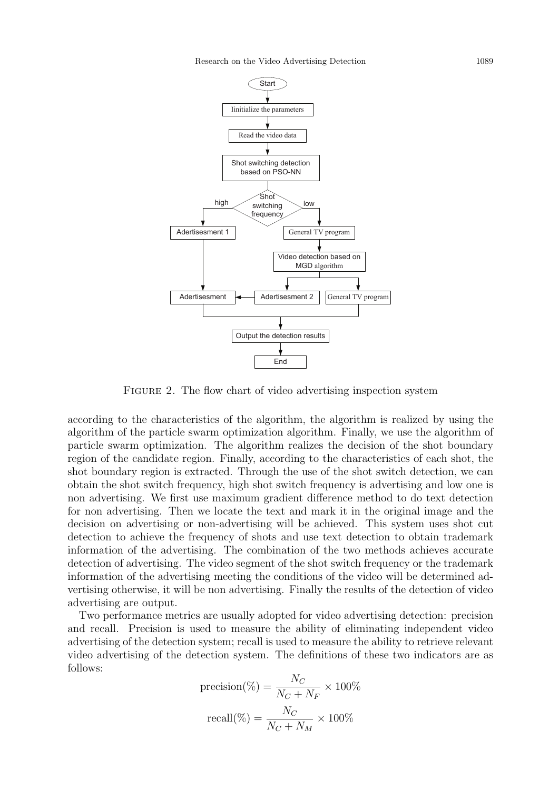

FIGURE 2. The flow chart of video advertising inspection system

according to the characteristics of the algorithm, the algorithm is realized by using the algorithm of the particle swarm optimization algorithm. Finally, we use the algorithm of particle swarm optimization. The algorithm realizes the decision of the shot boundary region of the candidate region. Finally, according to the characteristics of each shot, the shot boundary region is extracted. Through the use of the shot switch detection, we can obtain the shot switch frequency, high shot switch frequency is advertising and low one is non advertising. We first use maximum gradient difference method to do text detection for non advertising. Then we locate the text and mark it in the original image and the decision on advertising or non-advertising will be achieved. This system uses shot cut detection to achieve the frequency of shots and use text detection to obtain trademark information of the advertising. The combination of the two methods achieves accurate detection of advertising. The video segment of the shot switch frequency or the trademark information of the advertising meeting the conditions of the video will be determined advertising otherwise, it will be non advertising. Finally the results of the detection of video advertising are output.

Two performance metrics are usually adopted for video advertising detection: precision and recall. Precision is used to measure the ability of eliminating independent video advertising of the detection system; recall is used to measure the ability to retrieve relevant video advertising of the detection system. The definitions of these two indicators are as follows:

$$
\text{precision}(\%) = \frac{N_C}{N_C + N_F} \times 100\%
$$

$$
\text{recall}(\%) = \frac{N_C}{N_C + N_M} \times 100\%
$$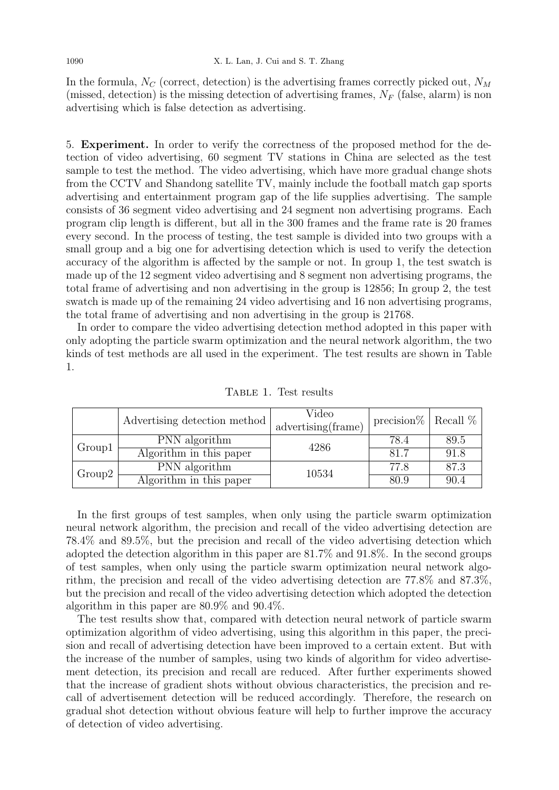1090 X. L. Lan, J. Cui and S. T. Zhang

In the formula,  $N_C$  (correct, detection) is the advertising frames correctly picked out,  $N_M$ (missed, detection) is the missing detection of advertising frames,  $N_F$  (false, alarm) is non advertising which is false detection as advertising.

5. Experiment. In order to verify the correctness of the proposed method for the detection of video advertising, 60 segment TV stations in China are selected as the test sample to test the method. The video advertising, which have more gradual change shots from the CCTV and Shandong satellite TV, mainly include the football match gap sports advertising and entertainment program gap of the life supplies advertising. The sample consists of 36 segment video advertising and 24 segment non advertising programs. Each program clip length is different, but all in the 300 frames and the frame rate is 20 frames every second. In the process of testing, the test sample is divided into two groups with a small group and a big one for advertising detection which is used to verify the detection accuracy of the algorithm is affected by the sample or not. In group 1, the test swatch is made up of the 12 segment video advertising and 8 segment non advertising programs, the total frame of advertising and non advertising in the group is 12856; In group 2, the test swatch is made up of the remaining 24 video advertising and 16 non advertising programs, the total frame of advertising and non advertising in the group is 21768.

In order to compare the video advertising detection method adopted in this paper with only adopting the particle swarm optimization and the neural network algorithm, the two kinds of test methods are all used in the experiment. The test results are shown in Table 1.

|        | Advertising detection method | Video<br>advertising(frame) | precision $\%$   Recall $\%$ |      |
|--------|------------------------------|-----------------------------|------------------------------|------|
| Group1 | PNN algorithm                | 4286                        | 78.4                         | 89.5 |
|        | Algorithm in this paper      |                             | 81.7                         | 91.8 |
| Group2 | PNN algorithm                | 10534                       | 77.8                         | 87.3 |
|        | Algorithm in this paper      |                             | 80.9                         | 90.4 |

Table 1. Test results

In the first groups of test samples, when only using the particle swarm optimization neural network algorithm, the precision and recall of the video advertising detection are 78.4% and 89.5%, but the precision and recall of the video advertising detection which adopted the detection algorithm in this paper are 81.7% and 91.8%. In the second groups of test samples, when only using the particle swarm optimization neural network algorithm, the precision and recall of the video advertising detection are 77.8% and 87.3%, but the precision and recall of the video advertising detection which adopted the detection algorithm in this paper are 80.9% and 90.4%.

The test results show that, compared with detection neural network of particle swarm optimization algorithm of video advertising, using this algorithm in this paper, the precision and recall of advertising detection have been improved to a certain extent. But with the increase of the number of samples, using two kinds of algorithm for video advertisement detection, its precision and recall are reduced. After further experiments showed that the increase of gradient shots without obvious characteristics, the precision and recall of advertisement detection will be reduced accordingly. Therefore, the research on gradual shot detection without obvious feature will help to further improve the accuracy of detection of video advertising.